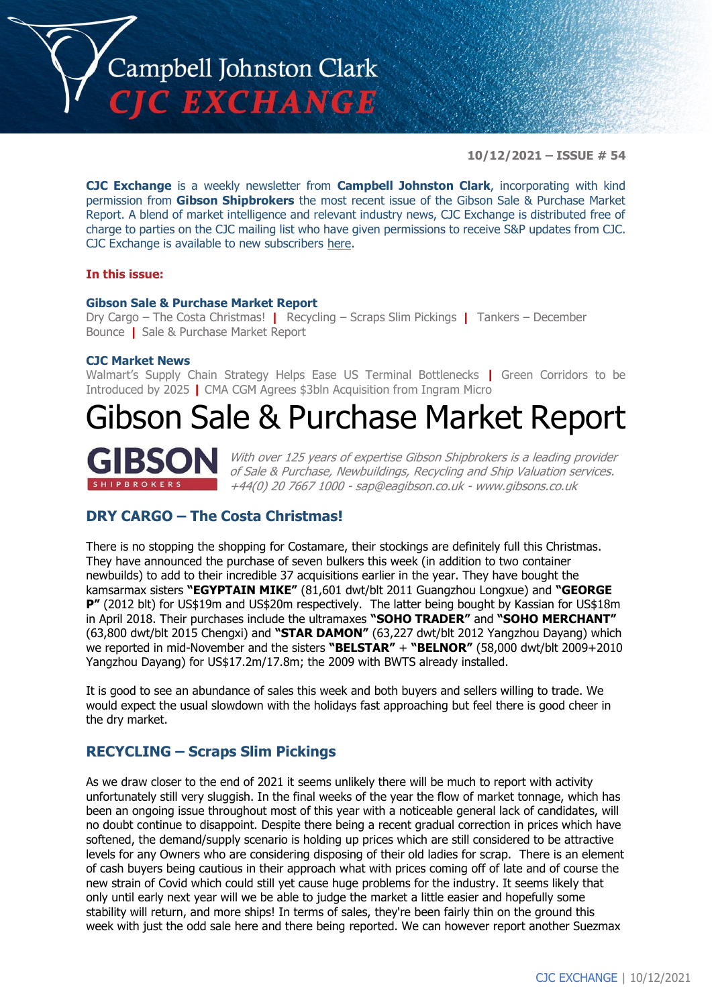

**10/12/2021 – ISSUE # 54**

**CJC Exchange** is a weekly newsletter from **Campbell Johnston Clark**, incorporating with kind permission from **Gibson Shipbrokers** the most recent issue of the Gibson Sale & Purchase Market Report. A blend of market intelligence and relevant industry news, CJC Exchange is distributed free of charge to parties on the CJC mailing list who have given permissions to receive S&P updates from CJC. CJC Exchange is available to new subscribers [here.](mailto:jamesc@cjclaw.com?subject=CJC%20Exchange%20sign-up)

#### **In this issue:**

#### **Gibson Sale & Purchase Market Report**

Dry Cargo – The Costa Christmas! **|** Recycling – Scraps Slim Pickings **|** Tankers – December Bounce **|** Sale & Purchase Market Report

#### **CJC Market News**

Walmart's Supply Chain Strategy Helps Ease US Terminal Bottlenecks **|** Green Corridors to be Introduced by 2025 **|** CMA CGM Agrees \$3bln Acquisition from Ingram Micro

## Gibson Sale & Purchase Market Report



With over 125 years of expertise Gibson Shipbrokers is a leading provider of Sale & Purchase, Newbuildings, Recycling and Ship Valuation services. +44(0) 20 7667 1000 - [sap@eagibson.co.uk](mailto:sap@eagibson.co.uk) - [www.gibsons.co.uk](https://protect-eu.mimecast.com/s/VO6nCGZzRS60KqcK1jQh/)

## **DRY CARGO – The Costa Christmas!**

There is no stopping the shopping for Costamare, their stockings are definitely full this Christmas. They have announced the purchase of seven bulkers this week (in addition to two container newbuilds) to add to their incredible 37 acquisitions earlier in the year. They have bought the kamsarmax sisters **"EGYPTAIN MIKE"** (81,601 dwt/blt 2011 Guangzhou Longxue) and **"GEORGE P"** (2012 blt) for US\$19m and US\$20m respectively. The latter being bought by Kassian for US\$18m in April 2018. Their purchases include the ultramaxes **"SOHO TRADER"** and **"SOHO MERCHANT"** (63,800 dwt/blt 2015 Chengxi) and **"STAR DAMON"** (63,227 dwt/blt 2012 Yangzhou Dayang) which we reported in mid-November and the sisters **"BELSTAR"** + **"BELNOR"** (58,000 dwt/blt 2009+2010 Yangzhou Dayang) for US\$17.2m/17.8m; the 2009 with BWTS already installed.

It is good to see an abundance of sales this week and both buyers and sellers willing to trade. We would expect the usual slowdown with the holidays fast approaching but feel there is good cheer in the dry market.

#### **RECYCLING – Scraps Slim Pickings**

As we draw closer to the end of 2021 it seems unlikely there will be much to report with activity unfortunately still very sluggish. In the final weeks of the year the flow of market tonnage, which has been an ongoing issue throughout most of this year with a noticeable general lack of candidates, will no doubt continue to disappoint. Despite there being a recent gradual correction in prices which have softened, the demand/supply scenario is holding up prices which are still considered to be attractive levels for any Owners who are considering disposing of their old ladies for scrap. There is an element of cash buyers being cautious in their approach what with prices coming off of late and of course the new strain of Covid which could still yet cause huge problems for the industry. It seems likely that only until early next year will we be able to judge the market a little easier and hopefully some stability will return, and more ships! In terms of sales, they're been fairly thin on the ground this week with just the odd sale here and there being reported. We can however report another Suezmax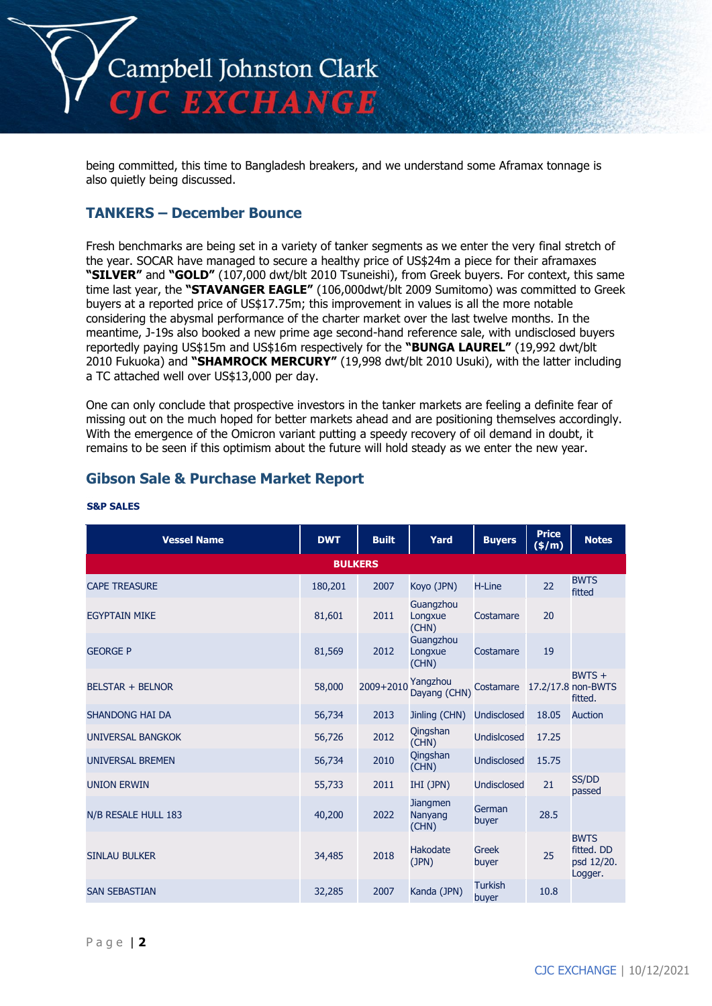

being committed, this time to Bangladesh breakers, and we understand some Aframax tonnage is also quietly being discussed.

## **TANKERS – December Bounce**

Fresh benchmarks are being set in a variety of tanker segments as we enter the very final stretch of the year. SOCAR have managed to secure a healthy price of US\$24m a piece for their aframaxes **"SILVER"** and **"GOLD"** (107,000 dwt/blt 2010 Tsuneishi), from Greek buyers. For context, this same time last year, the **"STAVANGER EAGLE"** (106,000dwt/blt 2009 Sumitomo) was committed to Greek buyers at a reported price of US\$17.75m; this improvement in values is all the more notable considering the abysmal performance of the charter market over the last twelve months. In the meantime, J-19s also booked a new prime age second-hand reference sale, with undisclosed buyers reportedly paying US\$15m and US\$16m respectively for the **"BUNGA LAUREL"** (19,992 dwt/blt 2010 Fukuoka) and **"SHAMROCK MERCURY"** (19,998 dwt/blt 2010 Usuki), with the latter including a TC attached well over US\$13,000 per day.

One can only conclude that prospective investors in the tanker markets are feeling a definite fear of missing out on the much hoped for better markets ahead and are positioning themselves accordingly. With the emergence of the Omicron variant putting a speedy recovery of oil demand in doubt, it remains to be seen if this optimism about the future will hold steady as we enter the new year.

## **Gibson Sale & Purchase Market Report**

| <b>Vessel Name</b>       | <b>DWT</b>     | <b>Built</b> | Yard                                | <b>Buyers</b>           | <b>Price</b><br>(\$/m) | <b>Notes</b>                                       |
|--------------------------|----------------|--------------|-------------------------------------|-------------------------|------------------------|----------------------------------------------------|
|                          | <b>BULKERS</b> |              |                                     |                         |                        |                                                    |
| <b>CAPE TREASURE</b>     | 180,201        | 2007         | Koyo (JPN)                          | H-Line                  | 22                     | <b>BWTS</b><br>fitted                              |
| <b>EGYPTAIN MIKE</b>     | 81,601         | 2011         | Guangzhou<br>Longxue<br>(CHN)       | Costamare               | 20                     |                                                    |
| <b>GEORGE P</b>          | 81,569         | 2012         | Guangzhou<br>Longxue<br>(CHN)       | Costamare               | 19                     |                                                    |
| <b>BELSTAR + BELNOR</b>  | 58,000         | 2009+2010    | Yangzhou<br>Dayang (CHN)            | Costamare               |                        | $BWTS +$<br>17.2/17.8 non-BWTS<br>fitted.          |
| <b>SHANDONG HAI DA</b>   | 56,734         | 2013         | Jinling (CHN)                       | <b>Undisclosed</b>      | 18.05                  | <b>Auction</b>                                     |
| <b>UNIVERSAL BANGKOK</b> | 56,726         | 2012         | Qingshan<br>(CHN)                   | <b>Undislcosed</b>      | 17.25                  |                                                    |
| <b>UNIVERSAL BREMEN</b>  | 56,734         | 2010         | Qingshan<br>(CHN)                   | <b>Undisclosed</b>      | 15.75                  |                                                    |
| <b>UNION ERWIN</b>       | 55,733         | 2011         | IHI (JPN)                           | <b>Undisclosed</b>      | 21                     | SS/DD<br>passed                                    |
| N/B RESALE HULL 183      | 40,200         | 2022         | <b>Jiangmen</b><br>Nanyang<br>(CHN) | German<br>buyer         | 28.5                   |                                                    |
| <b>SINLAU BULKER</b>     | 34,485         | 2018         | <b>Hakodate</b><br>(JPN)            | Greek<br>buyer          | 25                     | <b>BWTS</b><br>fitted. DD<br>psd 12/20.<br>Logger. |
| <b>SAN SEBASTIAN</b>     | 32,285         | 2007         | Kanda (JPN)                         | <b>Turkish</b><br>buyer | 10.8                   |                                                    |

#### **S&P SALES**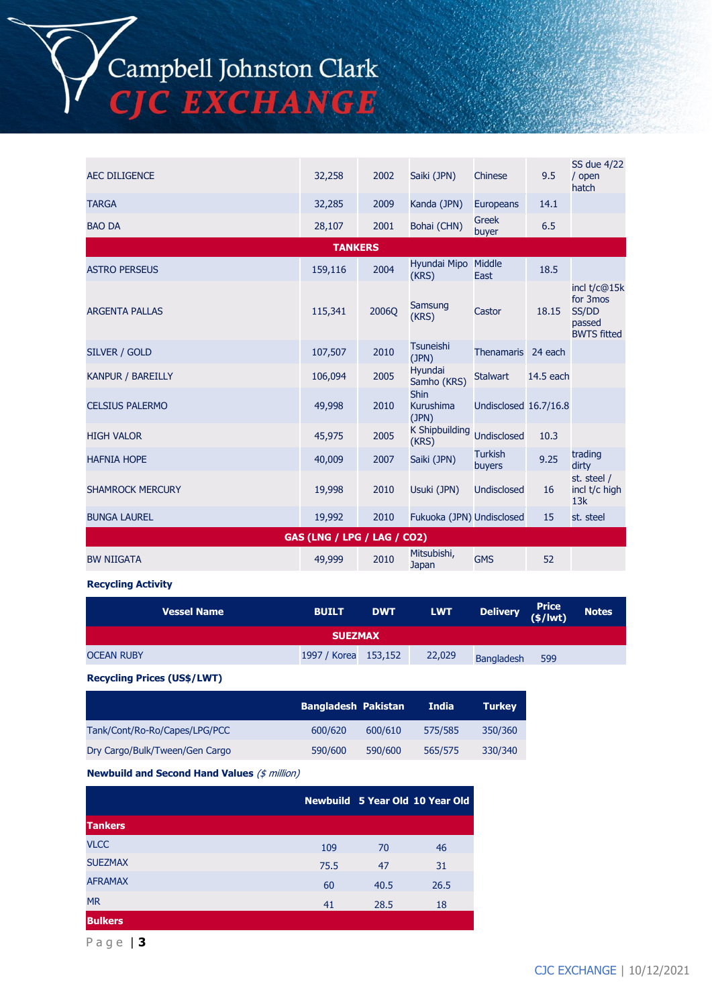Campbell Johnston Clark<br>CJC EXCHANGE

| <b>AEC DILIGENCE</b>        | 32,258         | 2002  | Saiki (JPN)                              | Chinese                  | 9.5       | SS due 4/22<br>/ open<br>hatch                                    |  |
|-----------------------------|----------------|-------|------------------------------------------|--------------------------|-----------|-------------------------------------------------------------------|--|
| <b>TARGA</b>                | 32,285         | 2009  | Kanda (JPN)                              | Europeans                | 14.1      |                                                                   |  |
| <b>BAO DA</b>               | 28,107         | 2001  | Bohai (CHN)                              | <b>Greek</b><br>buyer    | 6.5       |                                                                   |  |
|                             | <b>TANKERS</b> |       |                                          |                          |           |                                                                   |  |
| <b>ASTRO PERSEUS</b>        | 159,116        | 2004  | Hyundai Mipo Middle<br>(KRS)             | East                     | 18.5      |                                                                   |  |
| <b>ARGENTA PALLAS</b>       | 115,341        | 2006Q | Samsung<br>(KRS)                         | Castor                   | 18.15     | incl t/c@15k<br>for 3mos<br>SS/DD<br>passed<br><b>BWTS fitted</b> |  |
| SILVER / GOLD               | 107,507        | 2010  | <b>Tsuneishi</b><br>(JPN)                | <b>Thenamaris</b>        | 24 each   |                                                                   |  |
| <b>KANPUR / BAREILLY</b>    | 106,094        | 2005  | Hyundai<br>Samho (KRS)                   | <b>Stalwart</b>          | 14.5 each |                                                                   |  |
| <b>CELSIUS PALERMO</b>      | 49,998         | 2010  | <b>Shin</b><br><b>Kurushima</b><br>(JPN) | Undisclosed 16.7/16.8    |           |                                                                   |  |
| <b>HIGH VALOR</b>           | 45,975         | 2005  | <b>K Shipbuilding</b><br>(KRS)           | <b>Undisclosed</b>       | 10.3      |                                                                   |  |
| <b>HAFNIA HOPE</b>          | 40,009         | 2007  | Saiki (JPN)                              | <b>Turkish</b><br>buyers | 9.25      | trading<br>dirty                                                  |  |
| <b>SHAMROCK MERCURY</b>     | 19,998         | 2010  | Usuki (JPN)                              | Undisclosed              | 16        | st. steel /<br>incl t/c high<br>13k                               |  |
| <b>BUNGA LAUREL</b>         | 19,992         | 2010  | Fukuoka (JPN) Undisclosed                |                          | 15        | st. steel                                                         |  |
| GAS (LNG / LPG / LAG / CO2) |                |       |                                          |                          |           |                                                                   |  |
| <b>BW NIIGATA</b>           | 49,999         | 2010  | Mitsubishi,<br>Japan                     | <b>GMS</b>               | 52        |                                                                   |  |

#### **Recycling Activity**

|                   | Vessel Name | <b>BUILT</b>         | <b>DWT</b> | <b>LWT</b> | Delivery Price |     | <b>Notes</b> |
|-------------------|-------------|----------------------|------------|------------|----------------|-----|--------------|
| <b>SUEZMAX</b>    |             |                      |            |            |                |     |              |
| <b>OCEAN RUBY</b> |             | 1997 / Korea 153,152 |            | 22,029     | Bangladesh     | 599 |              |
|                   |             |                      |            |            |                |     |              |

**Recycling Prices (US\$/LWT)**

|                                | <b>Bangladesh Pakistan</b> |         | <b>India</b> | <b>Turkey</b> |
|--------------------------------|----------------------------|---------|--------------|---------------|
| Tank/Cont/Ro-Ro/Capes/LPG/PCC  | 600/620                    | 600/610 | 575/585      | 350/360       |
| Dry Cargo/Bulk/Tween/Gen Cargo | 590/600                    | 590/600 | 565/575      | 330/340       |

**Newbuild and Second Hand Values** (\$ million)

|                |      |      | Newbuild 5 Year Old 10 Year Old |
|----------------|------|------|---------------------------------|
| <b>Tankers</b> |      |      |                                 |
| <b>VLCC</b>    | 109  | 70   | 46                              |
| <b>SUEZMAX</b> | 75.5 | 47   | 31                              |
| <b>AFRAMAX</b> | 60   | 40.5 | 26.5                            |
| <b>MR</b>      | 41   | 28.5 | 18                              |
| <b>Bulkers</b> |      |      |                                 |

P a g e | **3**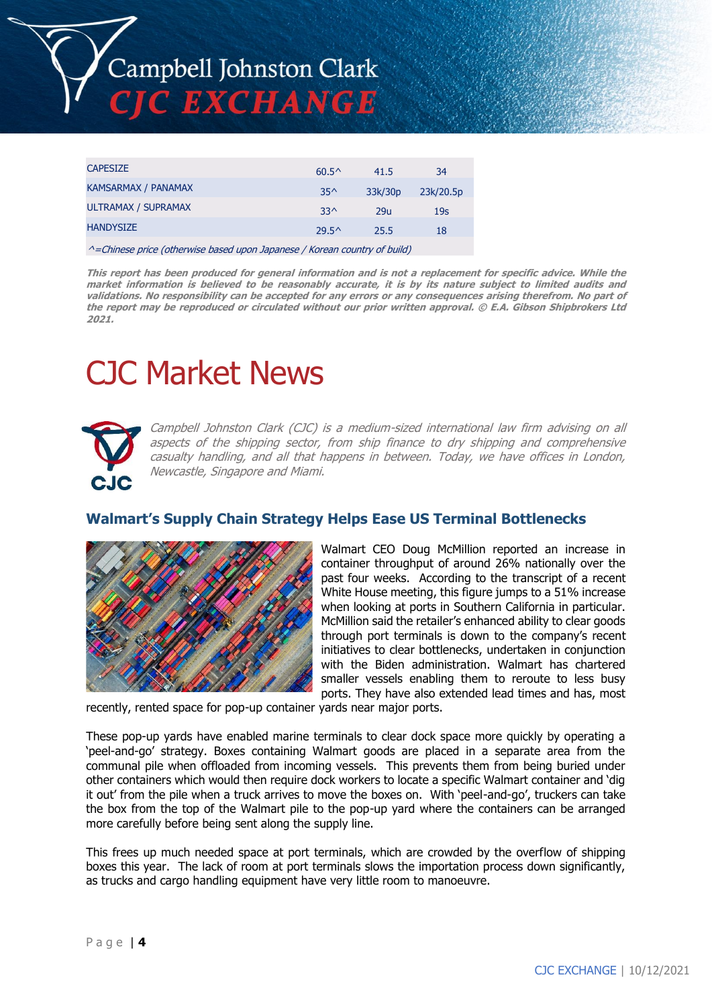

| <b>CAPESIZE</b>     | $60.5^{\circ}$ | 41.5    | 34              |
|---------------------|----------------|---------|-----------------|
| KAMSARMAX / PANAMAX | $35^$          | 33k/30p | 23k/20.5p       |
| ULTRAMAX / SUPRAMAX | $33^$          | 29u     | 19 <sub>S</sub> |
| <b>HANDYSIZE</b>    | $29.5^{\circ}$ | 25.5    | 18              |
|                     |                |         |                 |

^=Chinese price (otherwise based upon Japanese / Korean country of build)

**This report has been produced for general information and is not a replacement for specific advice. While the market information is believed to be reasonably accurate, it is by its nature subject to limited audits and validations. No responsibility can be accepted for any errors or any consequences arising therefrom. No part of the report may be reproduced or circulated without our prior written approval. © E.A. Gibson Shipbrokers Ltd 2021.**

# CJC Market News



Campbell Johnston Clark (CJC) is a medium-sized international law firm advising on all aspects of the shipping sector, from ship finance to dry shipping and comprehensive casualty handling, and all that happens in between. Today, we have offices in London, Newcastle, Singapore and Miami.

## **Walmart's Supply Chain Strategy Helps Ease US Terminal Bottlenecks**



Walmart CEO Doug McMillion reported an increase in container throughput of around 26% nationally over the past four weeks. According to the transcript of a recent White House meeting, this figure jumps to a 51% increase when looking at ports in Southern California in particular. McMillion said the retailer's enhanced ability to clear goods through port terminals is down to the company's recent initiatives to clear bottlenecks, undertaken in conjunction with the Biden administration. Walmart has chartered smaller vessels enabling them to reroute to less busy ports. They have also extended lead times and has, most

recently, rented space for pop-up container yards near major ports.

These pop-up yards have enabled marine terminals to clear dock space more quickly by operating a 'peel-and-go' strategy. Boxes containing Walmart goods are placed in a separate area from the communal pile when offloaded from incoming vessels. This prevents them from being buried under other containers which would then require dock workers to locate a specific Walmart container and 'dig it out' from the pile when a truck arrives to move the boxes on. With 'peel-and-go', truckers can take the box from the top of the Walmart pile to the pop-up yard where the containers can be arranged more carefully before being sent along the supply line.

This frees up much needed space at port terminals, which are crowded by the overflow of shipping boxes this year. The lack of room at port terminals slows the importation process down significantly, as trucks and cargo handling equipment have very little room to manoeuvre.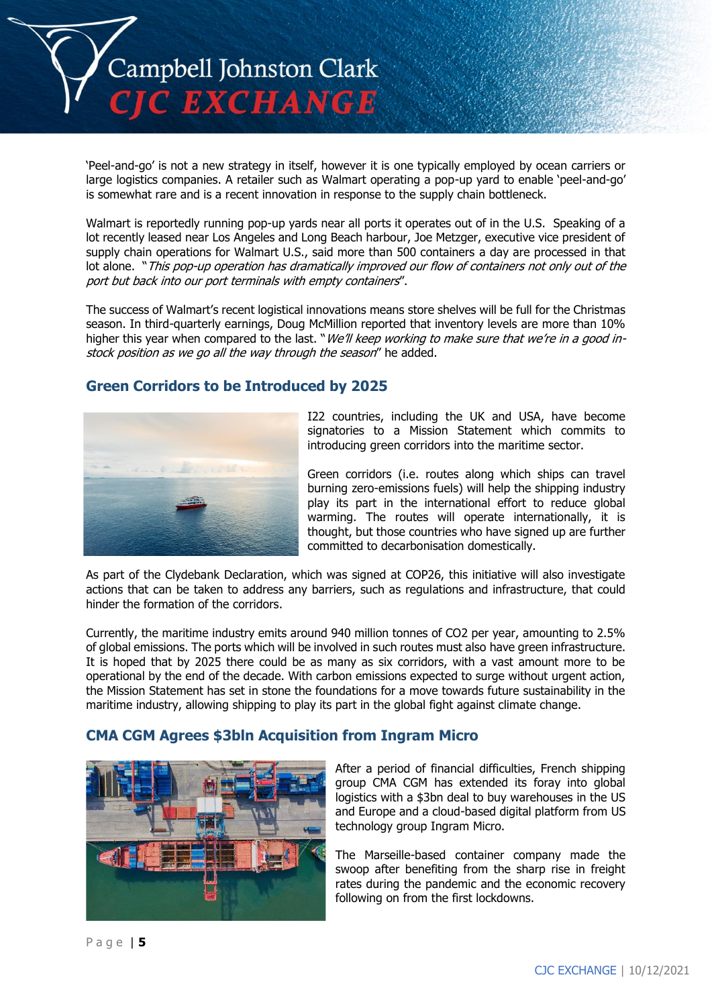

'Peel-and-go' is not a new strategy in itself, however it is one typically employed by ocean carriers or large logistics companies. A retailer such as Walmart operating a pop-up yard to enable 'peel-and-go' is somewhat rare and is a recent innovation in response to the supply chain bottleneck.

Walmart is reportedly running pop-up yards near all ports it operates out of in the U.S. Speaking of a lot recently leased near Los Angeles and Long Beach harbour, Joe Metzger, executive vice president of supply chain operations for Walmart U.S., said more than 500 containers a day are processed in that lot alone. "This pop-up operation has dramatically improved our flow of containers not only out of the port but back into our port terminals with empty containers".

The success of Walmart's recent logistical innovations means store shelves will be full for the Christmas season. In third-quarterly earnings, Doug McMillion reported that inventory levels are more than 10% higher this year when compared to the last. "*We'll keep working to make sure that we're in a good in*stock position as we go all the way through the season" he added.

## **Green Corridors to be Introduced by 2025**



I22 countries, including the UK and USA, have become signatories to a Mission Statement which commits to introducing green corridors into the maritime sector.

Green corridors (i.e. routes along which ships can travel burning zero-emissions fuels) will help the shipping industry play its part in the international effort to reduce global warming. The routes will operate internationally, it is thought, but those countries who have signed up are further committed to decarbonisation domestically.

As part of the Clydebank Declaration, which was signed at COP26, this initiative will also investigate actions that can be taken to address any barriers, such as regulations and infrastructure, that could hinder the formation of the corridors.

Currently, the maritime industry emits around 940 million tonnes of CO2 per year, amounting to 2.5% of global emissions. The ports which will be involved in such routes must also have green infrastructure. It is hoped that by 2025 there could be as many as six corridors, with a vast amount more to be operational by the end of the decade. With carbon emissions expected to surge without urgent action, the Mission Statement has set in stone the foundations for a move towards future sustainability in the maritime industry, allowing shipping to play its part in the global fight against climate change.

## **CMA CGM Agrees \$3bln Acquisition from Ingram Micro**



After a period of financial difficulties, French shipping group CMA CGM has extended its foray into global logistics with a \$3bn deal to buy warehouses in the US and Europe and a cloud-based digital platform from US technology group Ingram Micro.

The Marseille-based container company made the swoop after benefiting from the sharp rise in freight rates during the pandemic and the economic recovery following on from the first lockdowns.